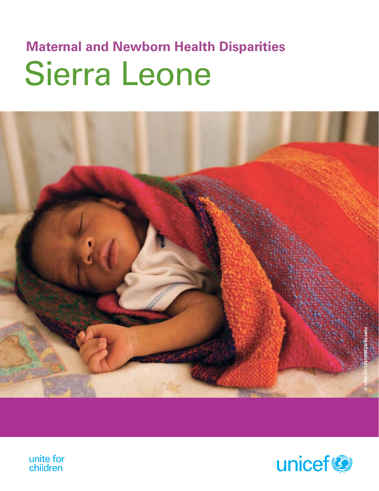# Sierra Leone **Maternal and Newborn Health Disparities**





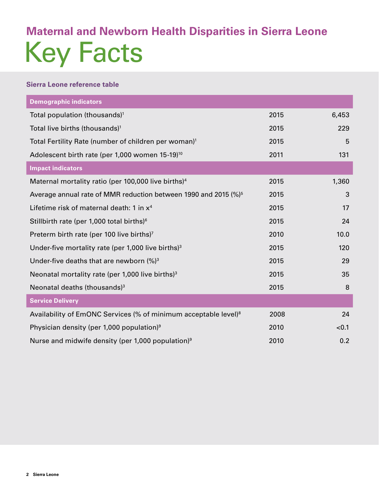## Key Facts **Maternal and Newborn Health Disparities in Sierra Leone**

#### **Sierra Leone reference table**

| <b>Demographic indicators</b>                                               |      |       |
|-----------------------------------------------------------------------------|------|-------|
| Total population (thousands) <sup>1</sup>                                   | 2015 | 6,453 |
| Total live births (thousands) <sup>1</sup>                                  | 2015 | 229   |
| Total Fertility Rate (number of children per woman) <sup>1</sup>            | 2015 | 5     |
| Adolescent birth rate (per 1,000 women 15-19) <sup>10</sup>                 | 2011 | 131   |
| <b>Impact indicators</b>                                                    |      |       |
| Maternal mortality ratio (per 100,000 live births) <sup>4</sup>             | 2015 | 1,360 |
| Average annual rate of MMR reduction between 1990 and 2015 (%) <sup>5</sup> | 2015 | 3     |
| Lifetime risk of maternal death: 1 in x <sup>4</sup>                        | 2015 | 17    |
| Stillbirth rate (per 1,000 total births) <sup>6</sup>                       | 2015 | 24    |
| Preterm birth rate (per 100 live births) <sup>7</sup>                       | 2010 | 10.0  |
| Under-five mortality rate (per 1,000 live births) $3$                       | 2015 | 120   |
| Under-five deaths that are newborn $(%)^3$                                  | 2015 | 29    |
| Neonatal mortality rate (per 1,000 live births) $3$                         | 2015 | 35    |
| Neonatal deaths (thousands) <sup>3</sup>                                    | 2015 | 8     |
| <b>Service Delivery</b>                                                     |      |       |
| Availability of EmONC Services (% of minimum acceptable level) <sup>8</sup> | 2008 | 24    |
| Physician density (per 1,000 population) <sup>9</sup>                       | 2010 | < 0.1 |
| Nurse and midwife density (per 1,000 population) <sup>9</sup>               | 2010 | 0.2   |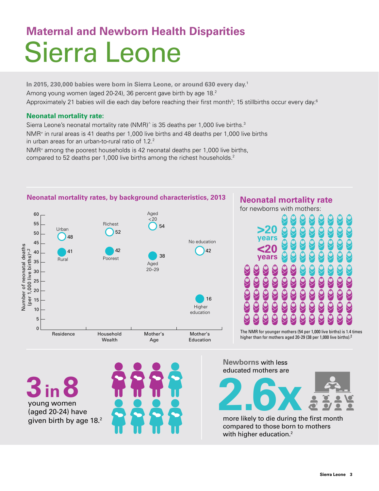## Sierra Leone **Maternal and Newborn Health Disparities**

**In 2015, 230,000 babies were born in Sierra Leone, or around 630 every day.1** Among young women (aged 20-24), 36 percent gave birth by age 18.<sup>2</sup> Approximately 21 babies will die each day before reaching their first month $^3$ ; 15 stillbirths occur every day. $^6$ 

#### **Neonatal mortality rate:**

Sierra Leone's neonatal mortality rate (NMR)<sup>^</sup> is 35 deaths per 1,000 live births.<sup>3</sup> NMR≠ in rural areas is 41 deaths per 1,000 live births and 48 deaths per 1,000 live births in urban areas for an urban-to-rural ratio of 1.2.<sup>2</sup>

NMR≠ among the poorest households is 42 neonatal deaths per 1,000 live births, compared to 52 deaths per 1,000 live births among the richest households.<sup>2</sup>



### **Neonatal mortality rate**

for newborns with mothers:



higher than for mothers aged 20-29 (38 per 1,000 live births).2

**3in 8** young women (aged 20-24) have given birth by age 18.<sup>2</sup>



**Newborns** with less educated mothers are



more likely to die during the first month compared to those born to mothers with higher education.<sup>2</sup>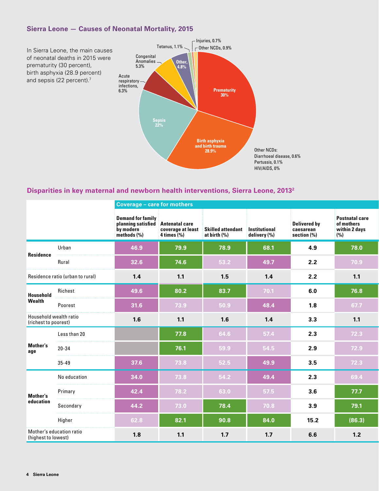#### **Sierra Leone — Causes of Neonatal Mortality, 2015**



#### **Disparities in key maternal and newborn health interventions, Sierra Leone, 20132**

|                                                | <b>Coverage - care for mothers</b> |                                                                                           |                          |                                                                      |              |                                                    |                                                             |
|------------------------------------------------|------------------------------------|-------------------------------------------------------------------------------------------|--------------------------|----------------------------------------------------------------------|--------------|----------------------------------------------------|-------------------------------------------------------------|
|                                                |                                    | <b>Demand for family</b><br>planning satisfied Antenatal care<br>by modern<br>methods (%) | $4 \times \times \times$ | coverage at least Skilled attendant Institutional<br>at birth $(\%)$ | delivery (%) | <b>Delivered by</b><br>caesarean<br>section $(\%)$ | <b>Postnatal care</b><br>of mothers<br>within 2 days<br>(%) |
|                                                | Urban                              | 46.9                                                                                      | 79.9                     | 78.9                                                                 | 68.1         | 4.9                                                | 78.0                                                        |
| Residence                                      | Rural                              | 32.6                                                                                      | 74.6                     | 53.2                                                                 | 49.7         | 2.2                                                | 70.9                                                        |
|                                                | Residence ratio (urban to rural)   | 1.4                                                                                       | $1.1$                    | 1.5                                                                  | $1.4$        | 2.2                                                | 1.1                                                         |
| Household                                      | Richest                            | 49.6                                                                                      | 80.2                     | 83.7                                                                 | 70.1         | 6.0                                                | 76.8                                                        |
| Wealth                                         | Poorest                            | 31.6                                                                                      | 73.9                     | 50.9                                                                 | 48.4         | 1.8                                                | 67.7                                                        |
| Household wealth ratio<br>(richest to poorest) |                                    | 1.6                                                                                       | $1.1$                    | 1.6                                                                  | 1.4          | 3.3                                                | 1.1                                                         |
|                                                | Less than 20                       |                                                                                           | 77.8                     | 64.6                                                                 | 57.4         | 2.3                                                | 72.3                                                        |
| Mother's<br>age                                | $20 - 34$                          |                                                                                           | 76.1                     | 59.9                                                                 | 54.5         | 2.9                                                | 72.9                                                        |
|                                                | $35 - 49$                          | 37.6                                                                                      | 73.8                     | 52.5                                                                 | 49.9         | 3.5                                                | 72.3                                                        |
|                                                | No education                       | 34.0                                                                                      | 73.8                     | 54.2                                                                 | 49.4         | 2.3                                                | 69.4                                                        |
| Mother's                                       | Primary                            | 42.4                                                                                      | 78.2                     | 63.0                                                                 | 57.5         | 3.6                                                | 77.7                                                        |
| education                                      | Secondary                          | 44.2                                                                                      | 73.0                     | 78.4                                                                 | 70.8         | 3.9                                                | 79.1                                                        |
|                                                | Higher                             | 62.8                                                                                      | 82.1                     | 90.8                                                                 | 84.0         | 15.2                                               | (86.3)                                                      |
| (highest to lowest)                            | Mother's education ratio           | 1.8                                                                                       | 1.1                      | 1.7                                                                  | $1.7$        | 6.6                                                | 1.2                                                         |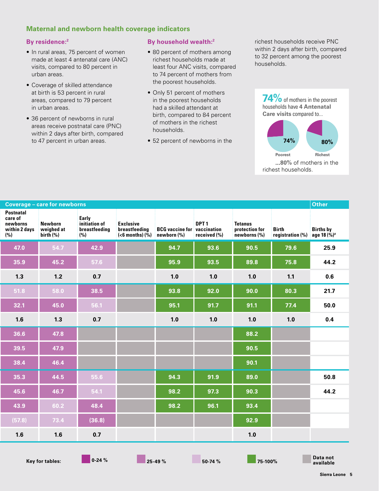#### **Maternal and newborn health coverage indicators**

#### **By residence:2**

- In rural areas, 75 percent of women made at least 4 antenatal care (ANC) visits, compared to 80 percent in urban areas.
- • Coverage of skilled attendance at birth is 53 percent in rural areas, compared to 79 percent in urban areas.
- 36 percent of newborns in rural areas receive postnatal care (PNC) within 2 days after birth, compared to 47 percent in urban areas.

#### **By household wealth:2**

- 80 percent of mothers among richest households made at least four ANC visits, compared to 74 percent of mothers from the poorest households.
- Only 51 percent of mothers in the poorest households had a skilled attendant at birth, compared to 84 percent of mothers in the richest households.
- 52 percent of newborns in the

richest households receive PNC within 2 days after birth, compared to 32 percent among the poorest households.



|               |                                                              |                                    |                                  |                                           |                                                             | Other |
|---------------|--------------------------------------------------------------|------------------------------------|----------------------------------|-------------------------------------------|-------------------------------------------------------------|-------|
| breastfeeding | Exclusive<br>breastfeeding<br>$(6 months) (\%) newborn (\%)$ | <b>BCG</b> vaccine for vaccination | DPT <sub>1</sub><br>received (%) | Tetanus<br>protection for<br>newborns (%) | Birth Births by<br>registration (%) age 18 (%) <sup>#</sup> |       |
|               |                                                              | 94.7                               | 93.6                             | 90.5                                      | 79.6                                                        | 25.9  |
|               |                                                              | 95.9                               | 93.5                             | 89.8                                      | 75.8                                                        | 44.2  |
|               |                                                              | 1.0                                | 1.0                              | 1.0                                       | $1.1$                                                       | 0.6   |
|               |                                                              | 93.8                               | 92.0                             | 90.0                                      | 80.3                                                        | 21.7  |
|               |                                                              | 95.1                               | 91.7                             | 91.1                                      | 77.4                                                        | 50.0  |
|               |                                                              | 1.0                                | 1.0                              | 1.0                                       | 1.0                                                         | 0.4   |
|               |                                                              |                                    |                                  | 88.2                                      |                                                             |       |
|               |                                                              |                                    |                                  | 90.5                                      |                                                             |       |
|               |                                                              |                                    |                                  | 90.1                                      |                                                             |       |
|               |                                                              | 94.3                               | 91.9                             | 89.0                                      |                                                             | 50.8  |
|               |                                                              | 98.2                               | 97.3                             | 90.3                                      |                                                             | 44.2  |
|               |                                                              | 98.2                               | 96.1                             | 93.4                                      |                                                             |       |
|               |                                                              |                                    |                                  | 92.9                                      |                                                             |       |
|               |                                                              |                                    |                                  | 1.0                                       |                                                             |       |

**Key for tables:** 0-24 % **25-49 % 25-49 % 50-74 % 75-100 %** 

**available**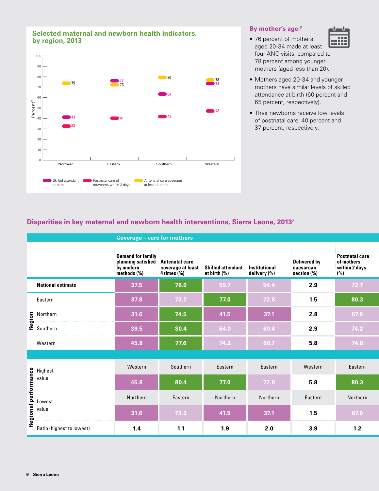#### **Selected maternal and newborn health indicators, by region, 2013**



#### **By mother's age:2**

- 76 percent of mothers |||||| aged 20-34 made at least four ANC visits, compared to 78 percent among younger mothers (aged less than 20).
- Mothers aged 20-34 and younger mothers have similar levels of skilled attendance at birth (60 percent and 65 percent, respectively).
- Their newborns receive low levels of postnatal care: 40 percent and 37 percent, respectively.

#### **Disparities in key maternal and newborn health interventions, Sierra Leone, 20132**

|                                                                                | <b>Coverage - care for mothers</b>                                         |                                                                |                                   |                               |                                                    |                                                             |  |  |
|--------------------------------------------------------------------------------|----------------------------------------------------------------------------|----------------------------------------------------------------|-----------------------------------|-------------------------------|----------------------------------------------------|-------------------------------------------------------------|--|--|
|                                                                                | <b>Demand for family</b><br>planning satisfied<br>by modern<br>methods (%) | <b>Antenatal care</b><br>coverage at least<br>$4$ times $(\%)$ | Skilled attendant<br>at birth (%) | Institutional<br>delivery (%) | <b>Delivered by</b><br>caesarean<br>section $(\%)$ | <b>Postnatal care</b><br>of mothers<br>within 2 days<br>(%) |  |  |
| <b>National estimate</b>                                                       | 37.5                                                                       | 76.0                                                           | 59.7                              | 54.4                          | 2.9                                                | 72.7                                                        |  |  |
| Eastern                                                                        | 37.8                                                                       | 73.2                                                           | 77.0                              | 72.8                          | 1.5                                                | 80.3                                                        |  |  |
|                                                                                | 31.6                                                                       | 74.5                                                           | 41.5                              | 37.1                          | 2.8                                                | 67.0                                                        |  |  |
| Soluthern<br>Soluthern<br>Coluthern                                            | 39.5                                                                       | 80.4                                                           | 64.0                              | 60.4                          | 2.9                                                | 74.2                                                        |  |  |
| Western                                                                        | 45.8                                                                       | 77.6                                                           | 74.2                              | 60.7                          | 5.8                                                | 74.8                                                        |  |  |
|                                                                                |                                                                            |                                                                |                                   |                               |                                                    |                                                             |  |  |
|                                                                                | Western                                                                    | Southern                                                       | Eastern                           | Eastern                       | Western                                            | Eastern                                                     |  |  |
|                                                                                | 45.8                                                                       | 80.4                                                           | 77.0                              | 72.8                          | 5.8                                                | 80.3                                                        |  |  |
|                                                                                | Northern                                                                   | Eastern                                                        | Northern                          | Northern                      | Eastern                                            | Northern                                                    |  |  |
| e Highest<br>value<br>value<br>Lowest<br>value<br>Se Ratio (highest to lowest) | 31.6                                                                       | 73.2                                                           | 41.5                              | 37.1                          | 1.5                                                | 67.0                                                        |  |  |
|                                                                                | 1.4                                                                        | 1.1                                                            | 1.9                               | 2.0                           | 3.9                                                | 1.2                                                         |  |  |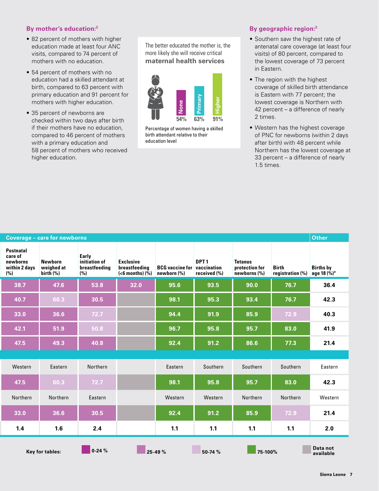#### **By mother's education:2**

- 82 percent of mothers with higher education made at least four ANC visits, compared to 74 percent of mothers with no education.
- 54 percent of mothers with no education had a skilled attendant at birth, compared to 63 percent with primary education and 91 percent for mothers with higher education.
- 35 percent of newborns are checked within two days after birth if their mothers have no education, compared to 46 percent of mothers with a primary education and 58 percent of mothers who received higher education.

The better educated the mother is, the more likely she will receive critical **maternal health services**



Percentage of women having a skilled birth attendant relative to their education level

#### **By geographic region:2**

- Southern saw the highest rate of antenatal care coverage (at least four visits) of 80 percent, compared to the lowest coverage of 73 percent in Eastern.
- The region with the highest coverage of skilled birth attendance is Eastern with 77 percent; the lowest coverage is Northern with 42 percent – a difference of nearly 2 times.
- Western has the highest coverage of PNC for newborns (within 2 days after birth) with 48 percent while Northern has the lowest coverage at 33 percent – a difference of nearly 1.5 times.

| Other                               |                           |                                           |                                  |                                                   |                                                        |                                                | Coverage - care for newborns       |                                                                 |
|-------------------------------------|---------------------------|-------------------------------------------|----------------------------------|---------------------------------------------------|--------------------------------------------------------|------------------------------------------------|------------------------------------|-----------------------------------------------------------------|
| <b>Births by</b><br>age 18 $(\%)^*$ | Birth<br>registration (%) | Tetanus<br>protection for<br>newborns (%) | DPT <sub>1</sub><br>received (%) | <b>BCG</b> vaccine for vaccination<br>newborn (%) | <b>Exclusive</b><br>breastfeeding<br>$(6 months) (\%)$ | Early<br>initiation of<br>breastfeeding<br>(%) | Newborn<br>weighed at<br>birth (%) | <b>Postnatal</b><br>care of<br>newborns<br>within 2 days<br>(%) |
| 36.4                                | 76.7                      | 90.0                                      | 93.5                             | 95.6                                              | 32.0                                                   | 53.8                                           | 47.6                               | 38.7                                                            |
| 42.3                                | 76.7                      | 93.4                                      | 95.3                             | 98.1                                              |                                                        | 30.5                                           | 60.3                               | 40.7                                                            |
| 40.3                                | 72.9                      | 85.9                                      | 91.9                             | 94.4                                              |                                                        | $72.7$                                         | 36.6                               | 33.0                                                            |
| 41.9                                | 83.0                      | 95.7                                      | 95.8                             | 96.7                                              |                                                        | 50.8                                           | 51.9                               | 42.1                                                            |
| 21.4                                | 77.3                      | 86.6                                      | 91.2                             | 92.4                                              |                                                        | 40.8                                           | 49.3                               | 47.5                                                            |
|                                     |                           |                                           |                                  |                                                   |                                                        |                                                |                                    |                                                                 |
| Eastern                             | Southern                  | Southern                                  | Southern                         | Eastern                                           |                                                        | Northern                                       | Eastern                            | Western                                                         |
| 42.3                                | 83.0                      | 95.7                                      | 95.8                             | 98.1                                              |                                                        | 72.7                                           | 60.3                               | 47.5                                                            |
| Western                             | Northern                  | Northern                                  | Western                          | Western                                           |                                                        | Eastern                                        | Northern                           | Northern                                                        |
| 21.4                                | 72.9                      | 85.9                                      | 91.2                             | 92.4                                              |                                                        | 30.5                                           | 36.6                               | 33.0                                                            |
| 2.0                                 | 1.1                       | $1.1$                                     | $1.1$                            | $1.1$                                             |                                                        | 2.4                                            | 1.6                                | 1.4                                                             |
| Data not<br>available               |                           | $75-100%$                                 | 50-74 %                          |                                                   | $25-49%$                                               | $0-24%$                                        | Key for tables:                    |                                                                 |